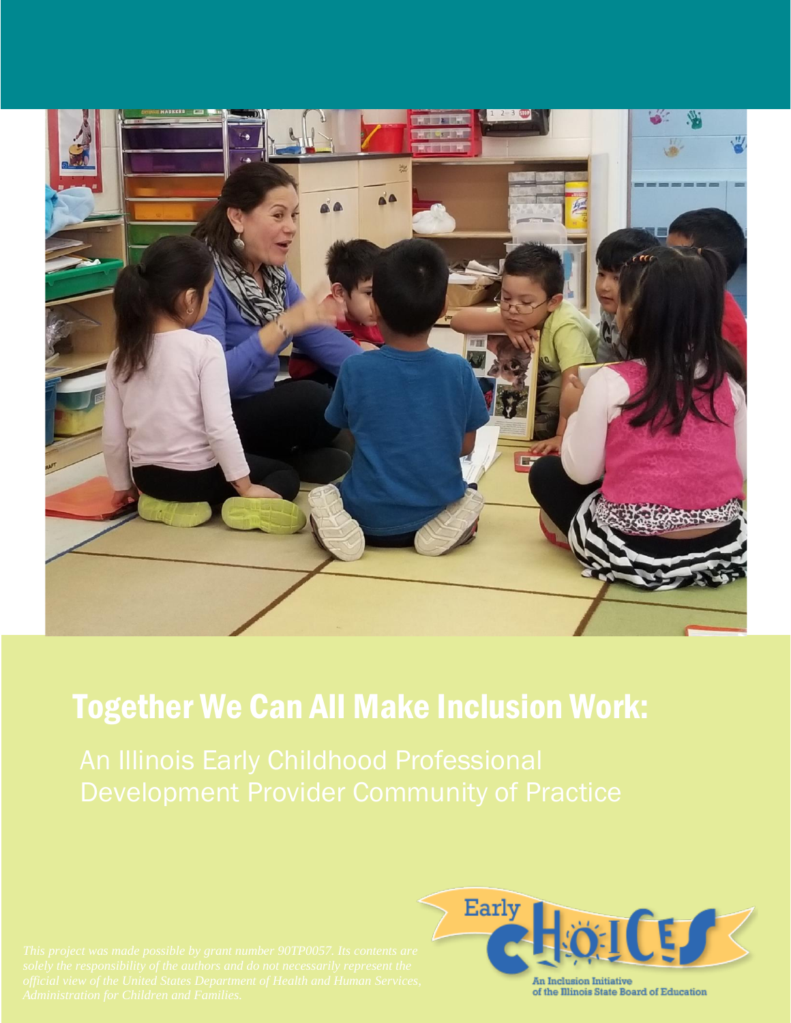

# Together We Can All Make Inclusion Work:

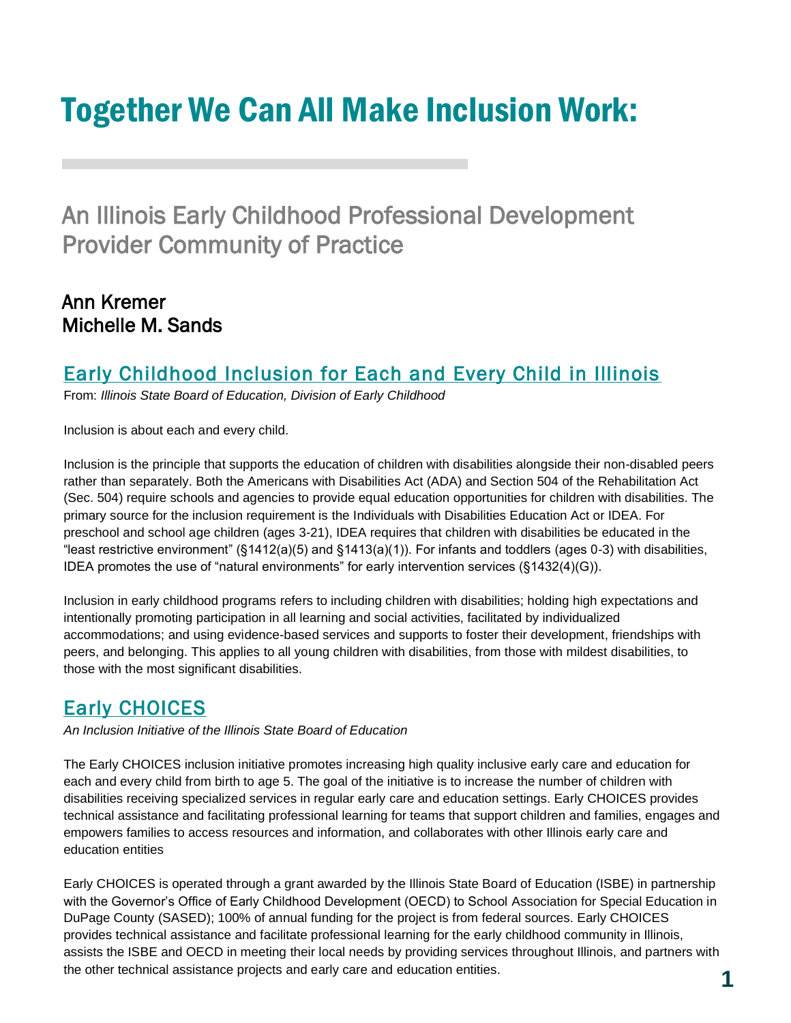# Together We Can All Make Inclusion Work:

An Illinois Early Childhood Professional Development Provider Community of Practice

# Ann Kremer Michelle M. Sands

# [Early Childhood Inclusion for Each and Every Child in Illinois](https://www.isbe.net/Documents/Inclusion-Brochure.pdf)

From: *Illinois State Board of Education, Division of Early Childhood*

Inclusion is about each and every child.

Inclusion is the principle that supports the education of children with disabilities alongside their non-disabled peers rather than separately. Both the Americans with Disabilities Act (ADA) and Section 504 of the Rehabilitation Act (Sec. 504) require schools and agencies to provide equal education opportunities for children with disabilities. The primary source for the inclusion requirement is the Individuals with Disabilities Education Act or IDEA. For preschool and school age children (ages 3-21), IDEA requires that children with disabilities be educated in the "least restrictive environment" (§1412(a)(5) and §1413(a)(1)). For infants and toddlers (ages 0-3) with disabilities, IDEA promotes the use of "natural environments" for early intervention services (§1432(4)(G)).

Inclusion in early childhood programs refers to including children with disabilities; holding high expectations and intentionally promoting participation in all learning and social activities, facilitated by individualized accommodations; and using evidence-based services and supports to foster their development, friendships with peers, and belonging. This applies to all young children with disabilities, from those with mildest disabilities, to those with the most significant disabilities.

# **Early CHOICES**

*An Inclusion Initiative of the Illinois State Board of Education*

The Early CHOICES inclusion initiative promotes increasing high quality inclusive early care and education for each and every child from birth to age 5. The goal of the initiative is to increase the number of children with disabilities receiving specialized services in regular early care and education settings. Early CHOICES provides technical assistance and facilitating professional learning for teams that support children and families, engages and empowers families to access resources and information, and collaborates with other Illinois early care and education entities

Early CHOICES is operated through a grant awarded by the Illinois State Board of Education (ISBE) in partnership with the Governor's Office of Early Childhood Development (OECD) to School Association for Special Education in DuPage County (SASED); 100% of annual funding for the project is from federal sources. Early CHOICES provides technical assistance and facilitate professional learning for the early childhood community in Illinois, assists the ISBE and OECD in meeting their local needs by providing services throughout Illinois, and partners with the other technical assistance projects and early care and education entities.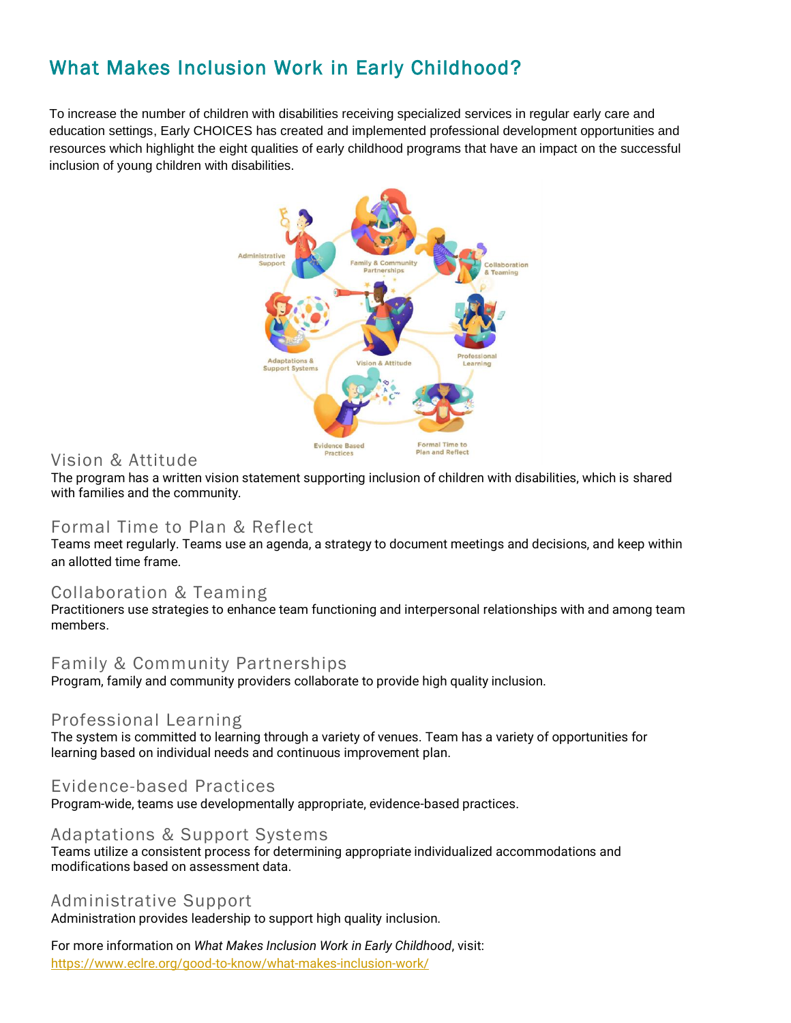# What Makes Inclusion Work in Early Childhood?

To increase the number of children with disabilities receiving specialized services in regular early care and education settings, Early CHOICES has created and implemented professional development opportunities and resources which highlight the eight qualities of early childhood programs that have an impact on the successful inclusion of young children with disabilities.



# Vision & Attitude

The program has a written vision statement supporting inclusion of children with disabilities, which is shared with families and the community.

# Formal Time to Plan & Reflect

Teams meet regularly. Teams use an agenda, a strategy to document meetings and decisions, and keep within an allotted time frame.

#### Collaboration & Teaming

Practitioners use strategies to enhance team functioning and interpersonal relationships with and among team members.

#### Family & Community Partnerships

Program, family and community providers collaborate to provide high quality inclusion.

# Professional Learning

The system is committed to learning through a variety of venues. Team has a variety of opportunities for learning based on individual needs and continuous improvement plan.

#### Evidence-based Practices

Program-wide, teams use developmentally appropriate, evidence-based practices.

#### Adaptations & Support Systems

Teams utilize a consistent process for determining appropriate individualized accommodations and modifications based on assessment data.

#### Administrative Support

Administration provides leadership to support high quality inclusion.

For more information on *What Makes Inclusion Work in Early Childhood*, visit: https://www.eclre.org/good-to-know/what-makes-inclusion-work/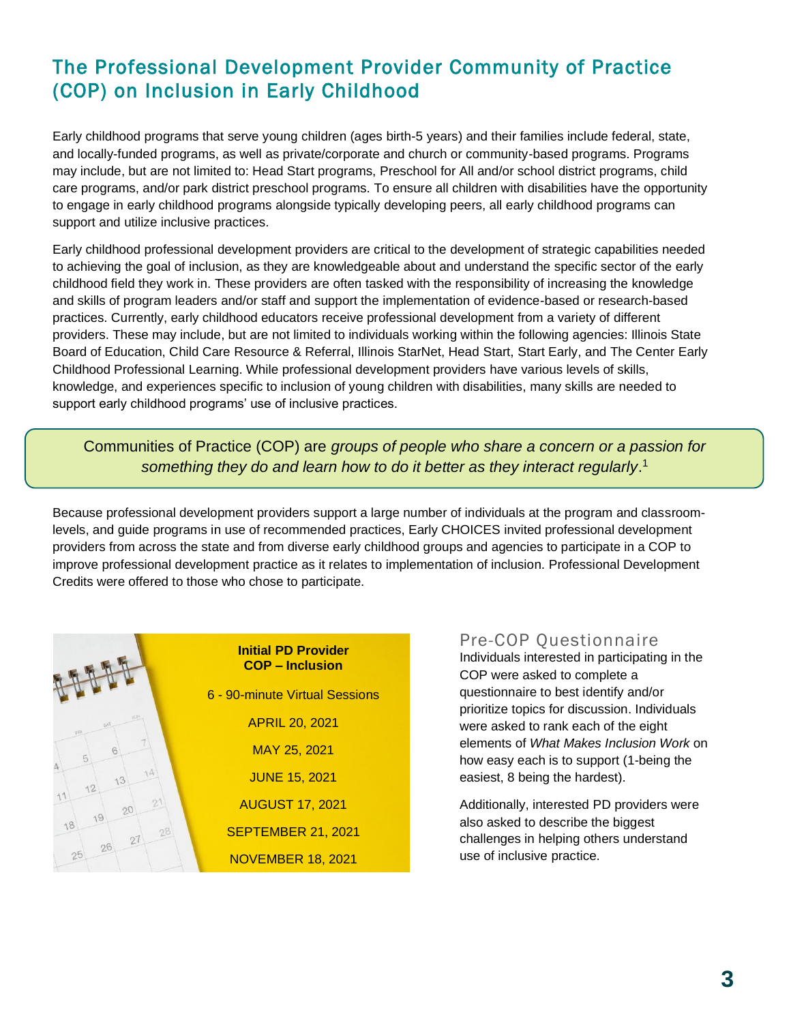# The Professional Development Provider Community of Practice (COP) on Inclusion in Early Childhood

Early childhood programs that serve young children (ages birth-5 years) and their families include federal, state, and locally-funded programs, as well as private/corporate and church or community-based programs. Programs may include, but are not limited to: Head Start programs, Preschool for All and/or school district programs, child care programs, and/or park district preschool programs. To ensure all children with disabilities have the opportunity to engage in early childhood programs alongside typically developing peers, all early childhood programs can support and utilize inclusive practices.

Early childhood professional development providers are critical to the development of strategic capabilities needed to achieving the goal of inclusion, as they are knowledgeable about and understand the specific sector of the early childhood field they work in. These providers are often tasked with the responsibility of increasing the knowledge and skills of program leaders and/or staff and support the implementation of evidence-based or research-based practices. Currently, early childhood educators receive professional development from a variety of different providers. These may include, but are not limited to individuals working within the following agencies: Illinois State Board of Education, Child Care Resource & Referral, Illinois StarNet, Head Start, Start Early, and The Center Early Childhood Professional Learning. While professional development providers have various levels of skills, knowledge, and experiences specific to inclusion of young children with disabilities, many skills are needed to support early childhood programs' use of inclusive practices.

Communities of Practice (COP) are *groups of people who share a concern or a passion for something they do and learn how to do it better as they interact regularly*. 1

Because professional development providers support a large number of individuals at the program and classroomlevels, and guide programs in use of recommended practices, Early CHOICES invited professional development providers from across the state and from diverse early childhood groups and agencies to participate in a COP to improve professional development practice as it relates to implementation of inclusion. Professional Development Credits were offered to those who chose to participate.



#### Pre-COP Questionnaire

Individuals interested in participating in the COP were asked to complete a questionnaire to best identify and/or prioritize topics for discussion. Individuals were asked to rank each of the eight elements of *What Makes Inclusion Work* on how easy each is to support (1-being the easiest, 8 being the hardest).

Additionally, interested PD providers were also asked to describe the biggest challenges in helping others understand use of inclusive practice.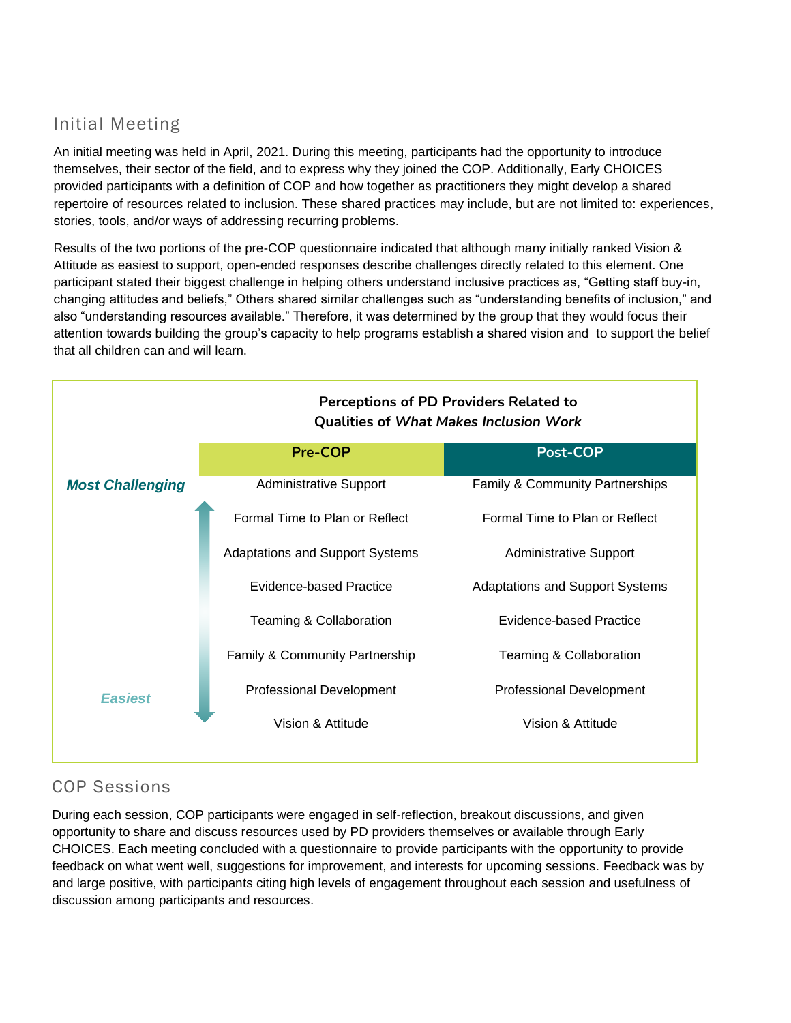# Initial Meeting

An initial meeting was held in April, 2021. During this meeting, participants had the opportunity to introduce themselves, their sector of the field, and to express why they joined the COP. Additionally, Early CHOICES provided participants with a definition of COP and how together as practitioners they might develop a shared repertoire of resources related to inclusion. These shared practices may include, but are not limited to: experiences, stories, tools, and/or ways of addressing recurring problems.

Results of the two portions of the pre-COP questionnaire indicated that although many initially ranked Vision & Attitude as easiest to support, open-ended responses describe challenges directly related to this element. One participant stated their biggest challenge in helping others understand inclusive practices as, "Getting staff buy-in, changing attitudes and beliefs," Others shared similar challenges such as "understanding benefits of inclusion," and also "understanding resources available." Therefore, it was determined by the group that they would focus their attention towards building the group's capacity to help programs establish a shared vision and to support the belief that all children can and will learn.



# COP Sessions

During each session, COP participants were engaged in self-reflection, breakout discussions, and given opportunity to share and discuss resources used by PD providers themselves or available through Early CHOICES. Each meeting concluded with a questionnaire to provide participants with the opportunity to provide feedback on what went well, suggestions for improvement, and interests for upcoming sessions. Feedback was by and large positive, with participants citing high levels of engagement throughout each session and usefulness of discussion among participants and resources.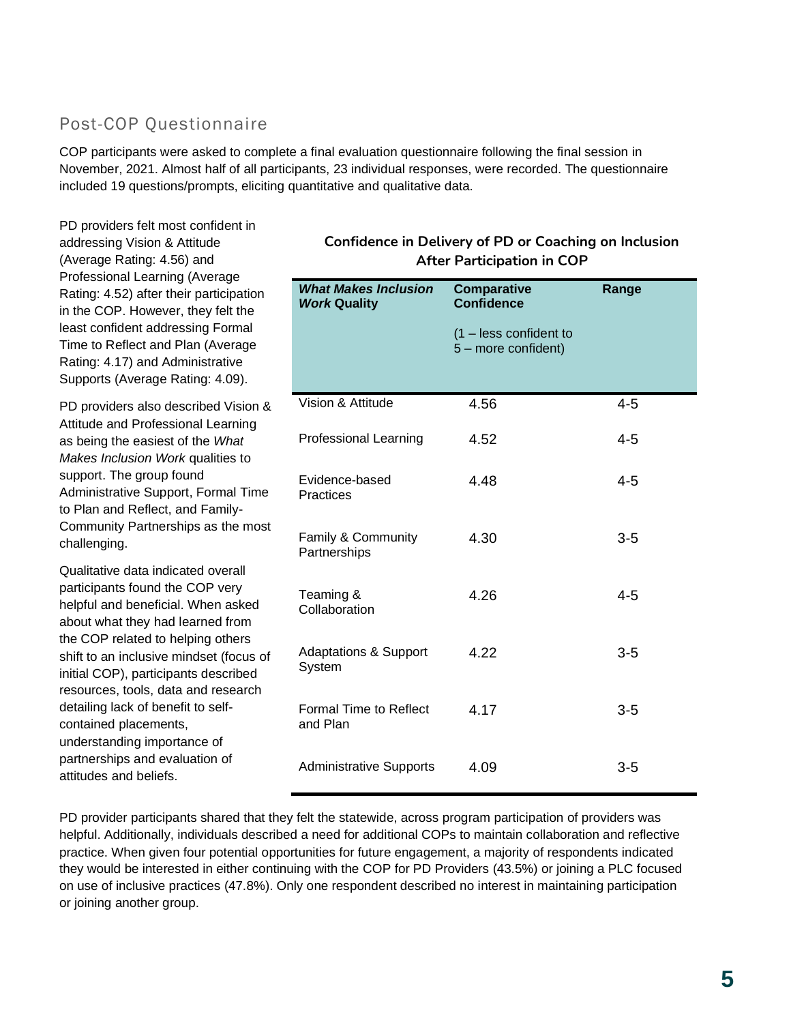# Post-COP Questionnaire

PD providers felt most confident in

COP participants were asked to complete a final evaluation questionnaire following the final session in November, 2021. Almost half of all participants, 23 individual responses, were recorded. The questionnaire included 19 questions/prompts, eliciting quantitative and qualitative data.

*What Makes Inclusion Work* **Quality Comparative Confidence** (1 – less confident to 5 – more confident) **Range** Vision & Attitude **4.56** 4-5 Professional Learning 4.52 4-5 Evidence-based **Practices** 4.48 4-5 Family & Community **Partnerships** 4.30 3-5 Teaming & **Collaboration** 4.26 4-5 Adaptations & Support System 4.22 3-5 Formal Time to Reflect and Plan 4.17 3-5 Administrative Supports 4.09 **After Participation in COP** addressing Vision & Attitude (Average Rating: 4.56) and Professional Learning (Average Rating: 4.52) after their participation in the COP. However, they felt the least confident addressing Formal Time to Reflect and Plan (Average Rating: 4.17) and Administrative Supports (Average Rating: 4.09). PD providers also described Vision & Attitude and Professional Learning as being the easiest of the *What Makes Inclusion Work* qualities to support. The group found Administrative Support, Formal Time to Plan and Reflect, and Family-Community Partnerships as the most challenging. Qualitative data indicated overall participants found the COP very helpful and beneficial. When asked about what they had learned from the COP related to helping others shift to an inclusive mindset (focus of initial COP), participants described resources, tools, data and research detailing lack of benefit to selfcontained placements, understanding importance of partnerships and evaluation of attitudes and beliefs.

# **Confidence in Delivery of PD or Coaching on Inclusion**

PD provider participants shared that they felt the statewide, across program participation of providers was helpful. Additionally, individuals described a need for additional COPs to maintain collaboration and reflective practice. When given four potential opportunities for future engagement, a majority of respondents indicated they would be interested in either continuing with the COP for PD Providers (43.5%) or joining a PLC focused on use of inclusive practices (47.8%). Only one respondent described no interest in maintaining participation or joining another group.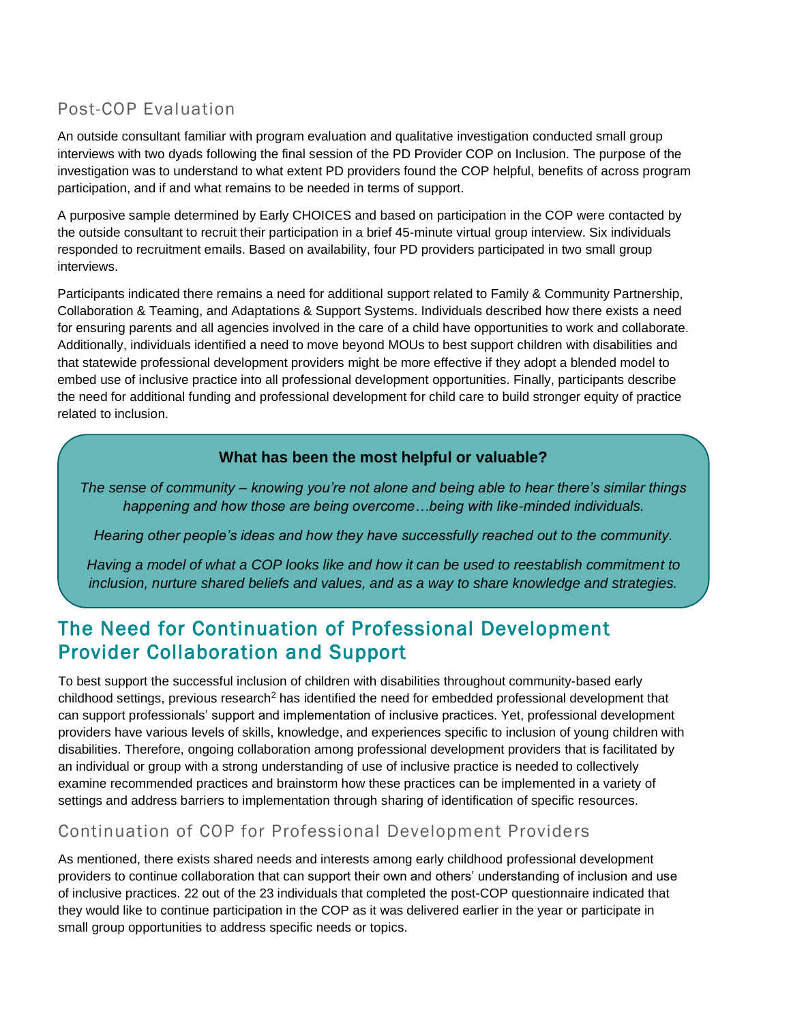# Post-COP Evaluation

An outside consultant familiar with program evaluation and qualitative investigation conducted small group interviews with two dyads following the final session of the PD Provider COP on Inclusion. The purpose of the investigation was to understand to what extent PD providers found the COP helpful, benefits of across program participation, and if and what remains to be needed in terms of support.

A purposive sample determined by Early CHOICES and based on participation in the COP were contacted by the outside consultant to recruit their participation in a brief 45-minute virtual group interview. Six individuals responded to recruitment emails. Based on availability, four PD providers participated in two small group interviews.

Participants indicated there remains a need for additional support related to Family & Community Partnership, Collaboration & Teaming, and Adaptations & Support Systems. Individuals described how there exists a need for ensuring parents and all agencies involved in the care of a child have opportunities to work and collaborate. Additionally, individuals identified a need to move beyond MOUs to best support children with disabilities and that statewide professional development providers might be more effective if they adopt a blended model to embed use of inclusive practice into all professional development opportunities. Finally, participants describe the need for additional funding and professional development for child care to build stronger equity of practice related to inclusion.

#### **What has been the most helpful or valuable?**

*The sense of community – knowing you're not alone and being able to hear there's similar things happening and how those are being overcome…being with like-minded individuals.*

*Hearing other people's ideas and how they have successfully reached out to the community.*

*Having a model of what a COP looks like and how it can be used to reestablish commitment to inclusion, nurture shared beliefs and values, and as a way to share knowledge and strategies.*

# The Need for Continuation of Professional Development Provider Collaboration and Support

To best support the successful inclusion of children with disabilities throughout community-based early childhood settings, previous research<sup>2</sup> has identified the need for embedded professional development that can support professionals' support and implementation of inclusive practices. Yet, professional development providers have various levels of skills, knowledge, and experiences specific to inclusion of young children with disabilities. Therefore, ongoing collaboration among professional development providers that is facilitated by an individual or group with a strong understanding of use of inclusive practice is needed to collectively examine recommended practices and brainstorm how these practices can be implemented in a variety of settings and address barriers to implementation through sharing of identification of specific resources.

# Continuation of COP for Professional Development Providers

As mentioned, there exists shared needs and interests among early childhood professional development providers to continue collaboration that can support their own and others' understanding of inclusion and use of inclusive practices. 22 out of the 23 individuals that completed the post-COP questionnaire indicated that they would like to continue participation in the COP as it was delivered earlier in the year or participate in small group opportunities to address specific needs or topics.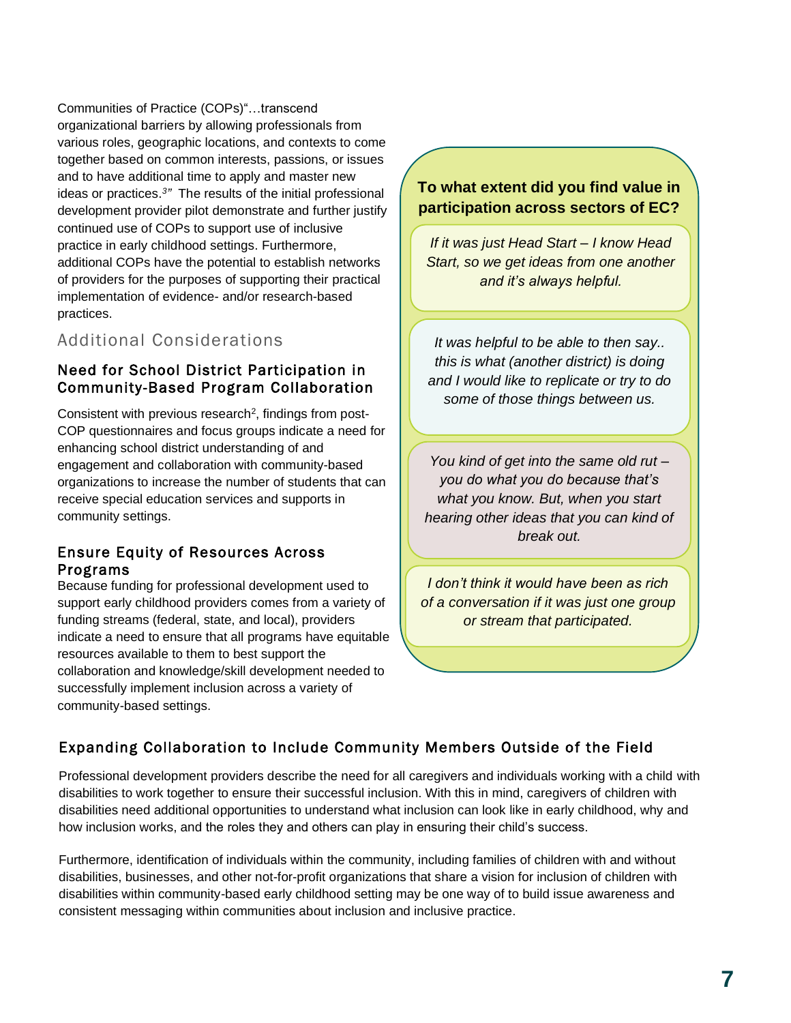Communities of Practice (COPs)"…transcend organizational barriers by allowing professionals from various roles, geographic locations, and contexts to come together based on common interests, passions, or issues and to have additional time to apply and master new ideas or practices.*<sup>3</sup> "* The results of the initial professional development provider pilot demonstrate and further justify continued use of COPs to support use of inclusive practice in early childhood settings. Furthermore, additional COPs have the potential to establish networks of providers for the purposes of supporting their practical implementation of evidence- and/or research-based practices.

# Additional Considerations

#### Need for School District Participation in Community-Based Program Collaboration

Consistent with previous research<sup>2</sup>, findings from post-COP questionnaires and focus groups indicate a need for enhancing school district understanding of and engagement and collaboration with community-based organizations to increase the number of students that can receive special education services and supports in community settings.

#### Ensure Equity of Resources Across Programs

Because funding for professional development used to support early childhood providers comes from a variety of funding streams (federal, state, and local), providers indicate a need to ensure that all programs have equitable resources available to them to best support the collaboration and knowledge/skill development needed to successfully implement inclusion across a variety of community-based settings.

### **To what extent did you find value in participation across sectors of EC?**

*If it was just Head Start – I know Head Start, so we get ideas from one another and it's always helpful.*

*It was helpful to be able to then say.. this is what (another district) is doing and I would like to replicate or try to do some of those things between us.*

*You kind of get into the same old rut – you do what you do because that's what you know. But, when you start hearing other ideas that you can kind of break out.*

*I don't think it would have been as rich of a conversation if it was just one group or stream that participated.*

# Expanding Collaboration to Include Community Members Outside of the Field

Professional development providers describe the need for all caregivers and individuals working with a child with disabilities to work together to ensure their successful inclusion. With this in mind, caregivers of children with disabilities need additional opportunities to understand what inclusion can look like in early childhood, why and how inclusion works, and the roles they and others can play in ensuring their child's success.

Furthermore, identification of individuals within the community, including families of children with and without disabilities, businesses, and other not-for-profit organizations that share a vision for inclusion of children with disabilities within community-based early childhood setting may be one way of to build issue awareness and consistent messaging within communities about inclusion and inclusive practice.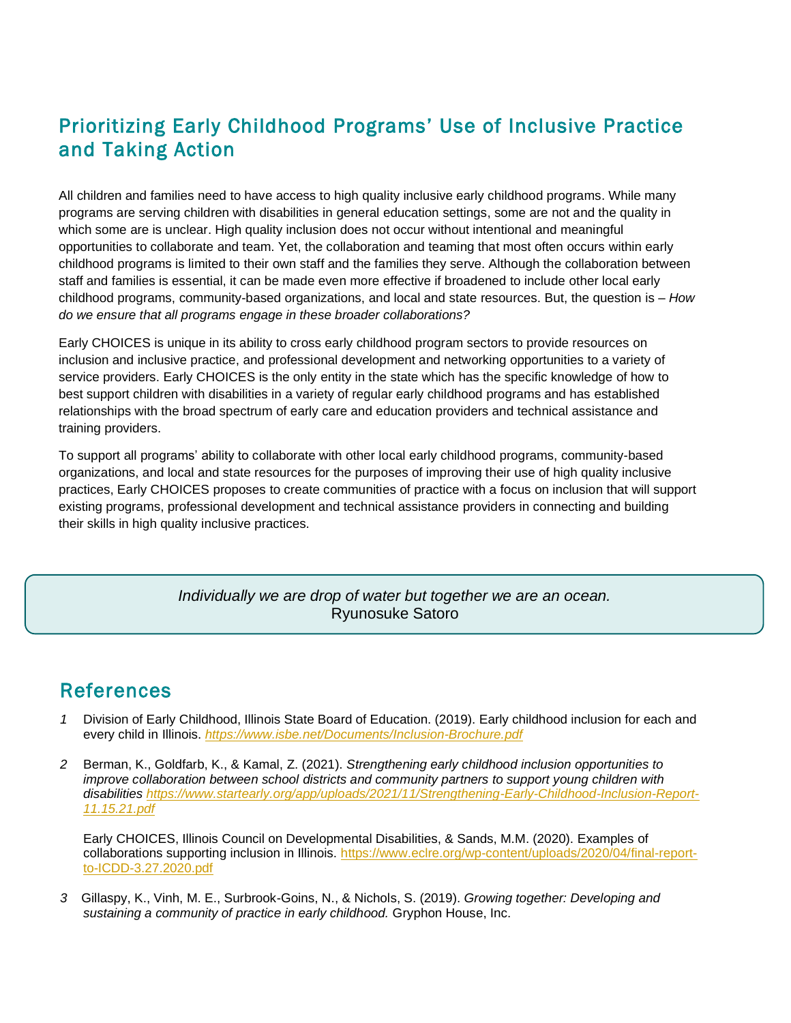# Prioritizing Early Childhood Programs' Use of Inclusive Practice and Taking Action

All children and families need to have access to high quality inclusive early childhood programs. While many programs are serving children with disabilities in general education settings, some are not and the quality in which some are is unclear. High quality inclusion does not occur without intentional and meaningful opportunities to collaborate and team. Yet, the collaboration and teaming that most often occurs within early childhood programs is limited to their own staff and the families they serve. Although the collaboration between staff and families is essential, it can be made even more effective if broadened to include other local early childhood programs, community-based organizations, and local and state resources. But, the question is – *How do we ensure that all programs engage in these broader collaborations?*

Early CHOICES is unique in its ability to cross early childhood program sectors to provide resources on inclusion and inclusive practice, and professional development and networking opportunities to a variety of service providers. Early CHOICES is the only entity in the state which has the specific knowledge of how to best support children with disabilities in a variety of regular early childhood programs and has established relationships with the broad spectrum of early care and education providers and technical assistance and training providers.

To support all programs' ability to collaborate with other local early childhood programs, community-based organizations, and local and state resources for the purposes of improving their use of high quality inclusive practices, Early CHOICES proposes to create communities of practice with a focus on inclusion that will support existing programs, professional development and technical assistance providers in connecting and building their skills in high quality inclusive practices.

#### *Individually we are drop of water but together we are an ocean.*  Ryunosuke Satoro

# References

- *1* Division of Early Childhood, Illinois State Board of Education. (2019). Early childhood inclusion for each and every child in Illinois. *<https://www.isbe.net/Documents/Inclusion-Brochure.pdf>*
- *2* Berman, K., Goldfarb, K., & Kamal, Z. (2021). *Strengthening early childhood inclusion opportunities to improve collaboration between school districts and community partners to support young children with disabilities [https://www.startearly.org/app/uploads/2021/11/Strengthening-Early-Childhood-Inclusion-Report-](https://www.startearly.org/app/uploads/2021/11/Strengthening-Early-Childhood-Inclusion-Report-11.15.21.pdf)[11.15.21.pdf](https://www.startearly.org/app/uploads/2021/11/Strengthening-Early-Childhood-Inclusion-Report-11.15.21.pdf)*

Early CHOICES, Illinois Council on Developmental Disabilities, & Sands, M.M. (2020). Examples of collaborations supporting inclusion in Illinois. [https://www.eclre.org/wp-content/uploads/2020/04/final-report](https://www.eclre.org/wp-content/uploads/2020/04/final-report-to-ICDD-3.27.2020.pdf)[to-ICDD-3.27.2020.pdf](https://www.eclre.org/wp-content/uploads/2020/04/final-report-to-ICDD-3.27.2020.pdf)

*3* Gillaspy, K., Vinh, M. E., Surbrook-Goins, N., & Nichols, S. (2019). *Growing together: Developing and sustaining a community of practice in early childhood.* Gryphon House, Inc.